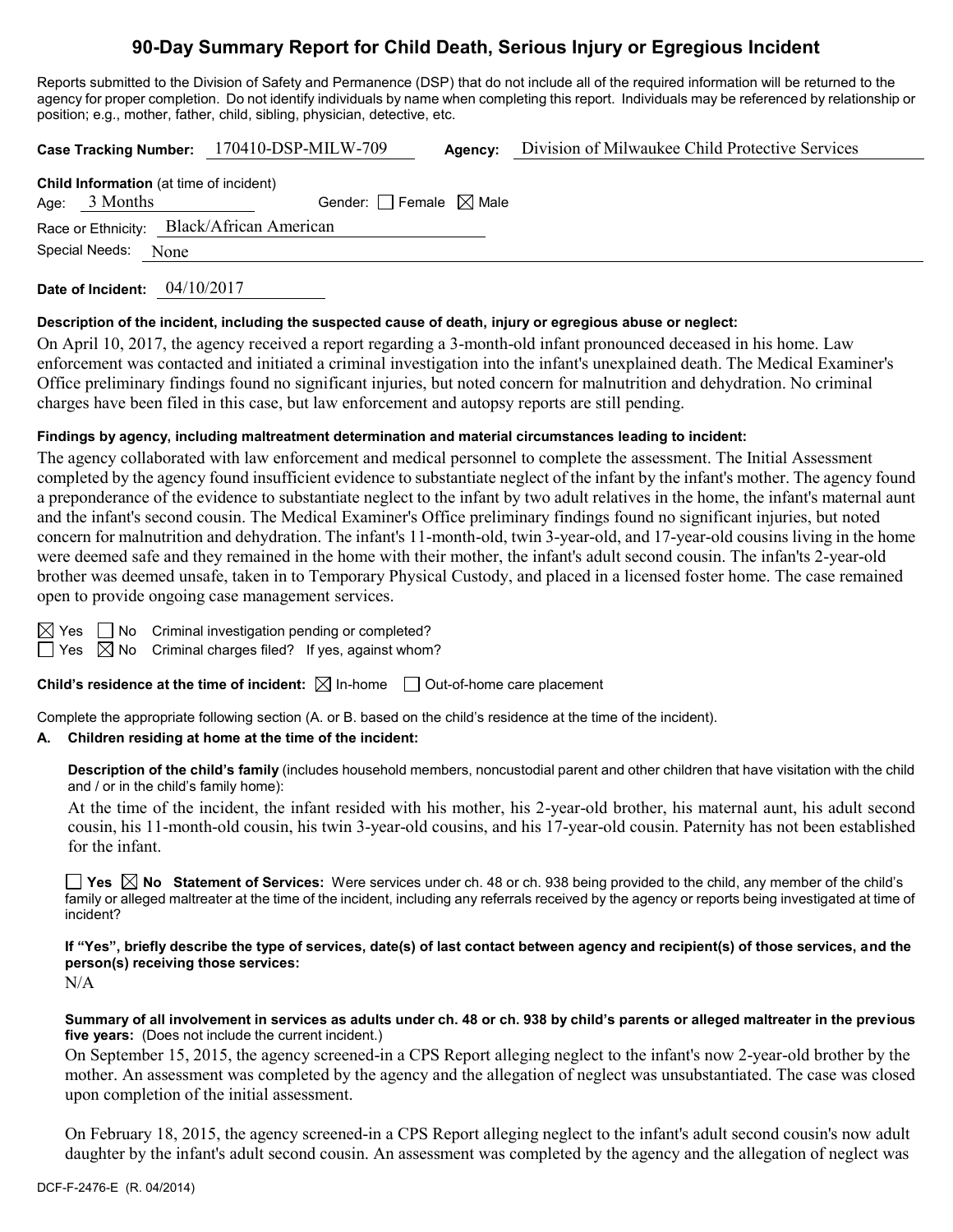# **90-Day Summary Report for Child Death, Serious Injury or Egregious Incident**

Reports submitted to the Division of Safety and Permanence (DSP) that do not include all of the required information will be returned to the agency for proper completion. Do not identify individuals by name when completing this report. Individuals may be referenced by relationship or position; e.g., mother, father, child, sibling, physician, detective, etc.

**Case Tracking Number:** 170410-DSP-MILW-709 **Agency:** Division of Milwaukee Child Protective Services

| <b>Child Information</b> (at time of incident) |                 |                                           |  |  |  |  |  |
|------------------------------------------------|-----------------|-------------------------------------------|--|--|--|--|--|
|                                                | Age: $3$ Months | Gender: Female $\boxtimes$ Male           |  |  |  |  |  |
|                                                |                 | Race or Ethnicity: Black/African American |  |  |  |  |  |
| Special Needs:<br>None                         |                 |                                           |  |  |  |  |  |
|                                                |                 |                                           |  |  |  |  |  |

**Date of Incident:** 04/10/2017

#### **Description of the incident, including the suspected cause of death, injury or egregious abuse or neglect:**

On April 10, 2017, the agency received a report regarding a 3-month-old infant pronounced deceased in his home. Law enforcement was contacted and initiated a criminal investigation into the infant's unexplained death. The Medical Examiner's Office preliminary findings found no significant injuries, but noted concern for malnutrition and dehydration. No criminal charges have been filed in this case, but law enforcement and autopsy reports are still pending.

#### **Findings by agency, including maltreatment determination and material circumstances leading to incident:**

The agency collaborated with law enforcement and medical personnel to complete the assessment. The Initial Assessment completed by the agency found insufficient evidence to substantiate neglect of the infant by the infant's mother. The agency found a preponderance of the evidence to substantiate neglect to the infant by two adult relatives in the home, the infant's maternal aunt and the infant's second cousin. The Medical Examiner's Office preliminary findings found no significant injuries, but noted concern for malnutrition and dehydration. The infant's 11-month-old, twin 3-year-old, and 17-year-old cousins living in the home were deemed safe and they remained in the home with their mother, the infant's adult second cousin. The infan'ts 2-year-old brother was deemed unsafe, taken in to Temporary Physical Custody, and placed in a licensed foster home. The case remained open to provide ongoing case management services.

 $\Box$  No Criminal investigation pending or completed?

Yes  $\boxtimes$  No Criminal charges filed? If yes, against whom?

**Child's residence at the time of incident:** ⊠ In-home □ Out-of-home care placement

Complete the appropriate following section (A. or B. based on the child's residence at the time of the incident).

#### **A. Children residing at home at the time of the incident:**

**Description of the child's family** (includes household members, noncustodial parent and other children that have visitation with the child and / or in the child's family home):

At the time of the incident, the infant resided with his mother, his 2-year-old brother, his maternal aunt, his adult second cousin, his 11-month-old cousin, his twin 3-year-old cousins, and his 17-year-old cousin. Paternity has not been established for the infant.

**Yes No Statement of Services:** Were services under ch. 48 or ch. 938 being provided to the child, any member of the child's family or alleged maltreater at the time of the incident, including any referrals received by the agency or reports being investigated at time of incident?

**If "Yes", briefly describe the type of services, date(s) of last contact between agency and recipient(s) of those services, and the person(s) receiving those services:** N/A

**Summary of all involvement in services as adults under ch. 48 or ch. 938 by child's parents or alleged maltreater in the previous five years:** (Does not include the current incident.)

On September 15, 2015, the agency screened-in a CPS Report alleging neglect to the infant's now 2-year-old brother by the mother. An assessment was completed by the agency and the allegation of neglect was unsubstantiated. The case was closed upon completion of the initial assessment.

On February 18, 2015, the agency screened-in a CPS Report alleging neglect to the infant's adult second cousin's now adult daughter by the infant's adult second cousin. An assessment was completed by the agency and the allegation of neglect was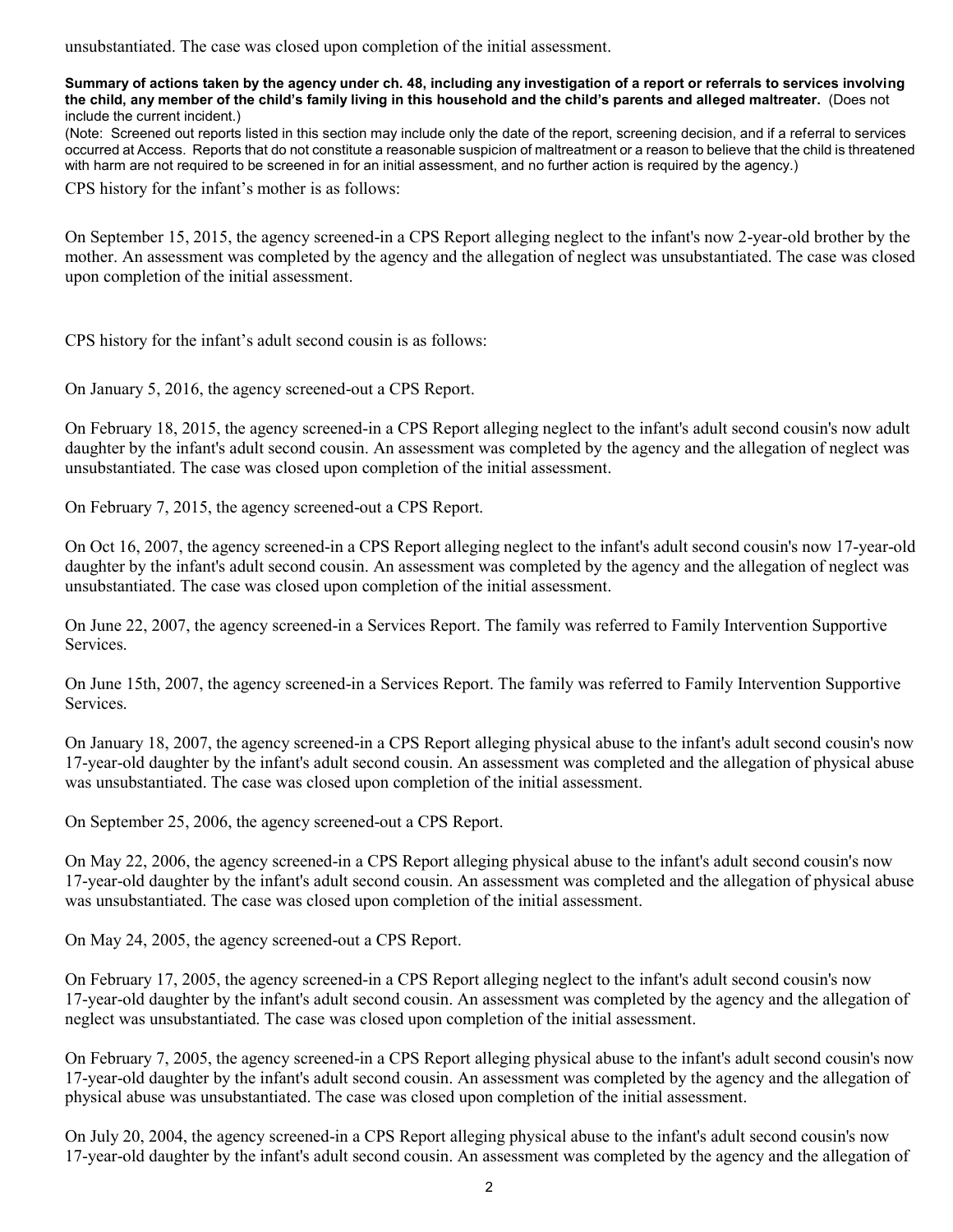unsubstantiated. The case was closed upon completion of the initial assessment.

**Summary of actions taken by the agency under ch. 48, including any investigation of a report or referrals to services involving the child, any member of the child's family living in this household and the child's parents and alleged maltreater.** (Does not include the current incident.)

(Note: Screened out reports listed in this section may include only the date of the report, screening decision, and if a referral to services occurred at Access. Reports that do not constitute a reasonable suspicion of maltreatment or a reason to believe that the child is threatened with harm are not required to be screened in for an initial assessment, and no further action is required by the agency.)

CPS history for the infant's mother is as follows:

On September 15, 2015, the agency screened-in a CPS Report alleging neglect to the infant's now 2-year-old brother by the mother. An assessment was completed by the agency and the allegation of neglect was unsubstantiated. The case was closed upon completion of the initial assessment.

CPS history for the infant's adult second cousin is as follows:

On January 5, 2016, the agency screened-out a CPS Report.

On February 18, 2015, the agency screened-in a CPS Report alleging neglect to the infant's adult second cousin's now adult daughter by the infant's adult second cousin. An assessment was completed by the agency and the allegation of neglect was unsubstantiated. The case was closed upon completion of the initial assessment.

On February 7, 2015, the agency screened-out a CPS Report.

On Oct 16, 2007, the agency screened-in a CPS Report alleging neglect to the infant's adult second cousin's now 17-year-old daughter by the infant's adult second cousin. An assessment was completed by the agency and the allegation of neglect was unsubstantiated. The case was closed upon completion of the initial assessment.

On June 22, 2007, the agency screened-in a Services Report. The family was referred to Family Intervention Supportive Services.

On June 15th, 2007, the agency screened-in a Services Report. The family was referred to Family Intervention Supportive Services.

On January 18, 2007, the agency screened-in a CPS Report alleging physical abuse to the infant's adult second cousin's now 17-year-old daughter by the infant's adult second cousin. An assessment was completed and the allegation of physical abuse was unsubstantiated. The case was closed upon completion of the initial assessment.

On September 25, 2006, the agency screened-out a CPS Report.

On May 22, 2006, the agency screened-in a CPS Report alleging physical abuse to the infant's adult second cousin's now 17-year-old daughter by the infant's adult second cousin. An assessment was completed and the allegation of physical abuse was unsubstantiated. The case was closed upon completion of the initial assessment.

On May 24, 2005, the agency screened-out a CPS Report.

On February 17, 2005, the agency screened-in a CPS Report alleging neglect to the infant's adult second cousin's now 17-year-old daughter by the infant's adult second cousin. An assessment was completed by the agency and the allegation of neglect was unsubstantiated. The case was closed upon completion of the initial assessment.

On February 7, 2005, the agency screened-in a CPS Report alleging physical abuse to the infant's adult second cousin's now 17-year-old daughter by the infant's adult second cousin. An assessment was completed by the agency and the allegation of physical abuse was unsubstantiated. The case was closed upon completion of the initial assessment.

On July 20, 2004, the agency screened-in a CPS Report alleging physical abuse to the infant's adult second cousin's now 17-year-old daughter by the infant's adult second cousin. An assessment was completed by the agency and the allegation of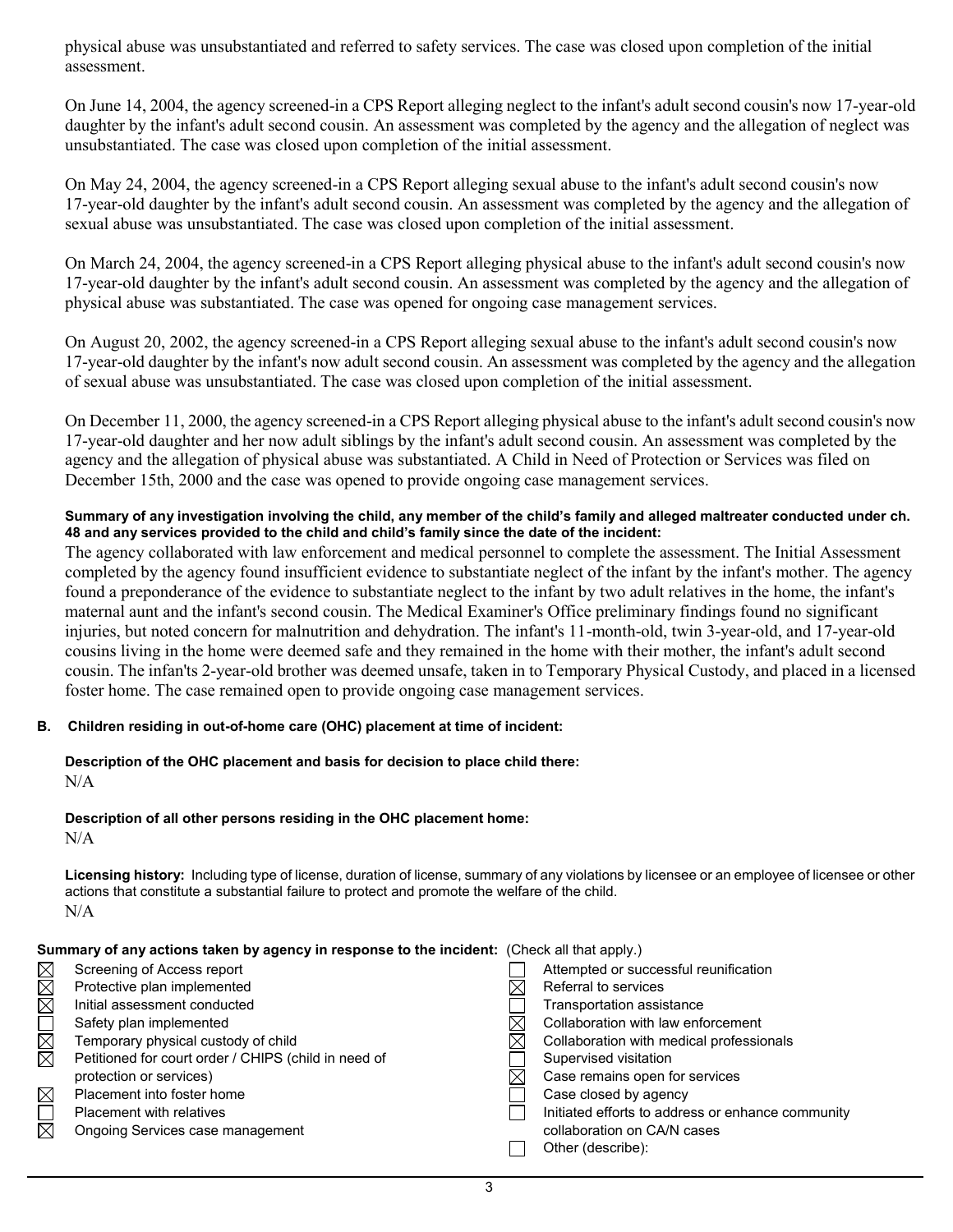physical abuse was unsubstantiated and referred to safety services. The case was closed upon completion of the initial assessment.

On June 14, 2004, the agency screened-in a CPS Report alleging neglect to the infant's adult second cousin's now 17-year-old daughter by the infant's adult second cousin. An assessment was completed by the agency and the allegation of neglect was unsubstantiated. The case was closed upon completion of the initial assessment.

On May 24, 2004, the agency screened-in a CPS Report alleging sexual abuse to the infant's adult second cousin's now 17-year-old daughter by the infant's adult second cousin. An assessment was completed by the agency and the allegation of sexual abuse was unsubstantiated. The case was closed upon completion of the initial assessment.

On March 24, 2004, the agency screened-in a CPS Report alleging physical abuse to the infant's adult second cousin's now 17-year-old daughter by the infant's adult second cousin. An assessment was completed by the agency and the allegation of physical abuse was substantiated. The case was opened for ongoing case management services.

On August 20, 2002, the agency screened-in a CPS Report alleging sexual abuse to the infant's adult second cousin's now 17-year-old daughter by the infant's now adult second cousin. An assessment was completed by the agency and the allegation of sexual abuse was unsubstantiated. The case was closed upon completion of the initial assessment.

On December 11, 2000, the agency screened-in a CPS Report alleging physical abuse to the infant's adult second cousin's now 17-year-old daughter and her now adult siblings by the infant's adult second cousin. An assessment was completed by the agency and the allegation of physical abuse was substantiated. A Child in Need of Protection or Services was filed on December 15th, 2000 and the case was opened to provide ongoing case management services.

### **Summary of any investigation involving the child, any member of the child's family and alleged maltreater conducted under ch. 48 and any services provided to the child and child's family since the date of the incident:**

The agency collaborated with law enforcement and medical personnel to complete the assessment. The Initial Assessment completed by the agency found insufficient evidence to substantiate neglect of the infant by the infant's mother. The agency found a preponderance of the evidence to substantiate neglect to the infant by two adult relatives in the home, the infant's maternal aunt and the infant's second cousin. The Medical Examiner's Office preliminary findings found no significant injuries, but noted concern for malnutrition and dehydration. The infant's 11-month-old, twin 3-year-old, and 17-year-old cousins living in the home were deemed safe and they remained in the home with their mother, the infant's adult second cousin. The infan'ts 2-year-old brother was deemed unsafe, taken in to Temporary Physical Custody, and placed in a licensed foster home. The case remained open to provide ongoing case management services.

# **B. Children residing in out-of-home care (OHC) placement at time of incident:**

# **Description of the OHC placement and basis for decision to place child there:**  $N/A$

#### **Description of all other persons residing in the OHC placement home:**  $N/A$

**Licensing history:** Including type of license, duration of license, summary of any violations by licensee or an employee of licensee or other actions that constitute a substantial failure to protect and promote the welfare of the child. N/A

| Summary of any actions taken by agency in response to the incident: (Check all that apply.)                                                                                                                                                                                                                                                                                                        |                                                                                                                                                                                                                                                                                                                                                                           |  |  |
|----------------------------------------------------------------------------------------------------------------------------------------------------------------------------------------------------------------------------------------------------------------------------------------------------------------------------------------------------------------------------------------------------|---------------------------------------------------------------------------------------------------------------------------------------------------------------------------------------------------------------------------------------------------------------------------------------------------------------------------------------------------------------------------|--|--|
| Screening of Access report<br>KØØ<br>Protective plan implemented<br>Initial assessment conducted<br>N<br>E<br>Safety plan implemented<br>Temporary physical custody of child<br>Petitioned for court order / CHIPS (child in need of<br>protection or services)<br>$\boxtimes$<br>Placement into foster home<br>$\Box$<br><b>Placement with relatives</b><br>⊠<br>Ongoing Services case management | Attempted or successful reunification<br>Referral to services<br>Transportation assistance<br>Collaboration with law enforcement<br>Collaboration with medical professionals<br>Supervised visitation<br>Case remains open for services<br>Case closed by agency<br>Initiated efforts to address or enhance community<br>collaboration on CA/N cases<br>Other (describe): |  |  |